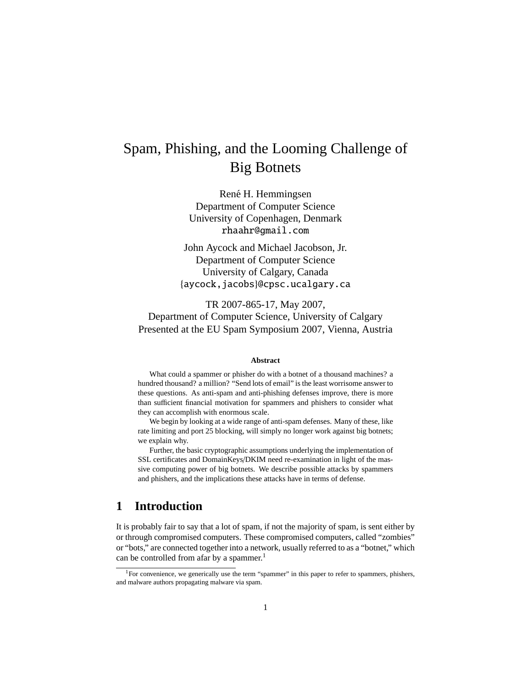# Spam, Phishing, and the Looming Challenge of Big Botnets

René H. Hemmingsen Department of Computer Science University of Copenhagen, Denmark rhaahr@gmail.com

John Aycock and Michael Jacobson, Jr. Department of Computer Science University of Calgary, Canada {aycock,jacobs}@cpsc.ucalgary.ca

TR 2007-865-17, May 2007, Department of Computer Science, University of Calgary Presented at the EU Spam Symposium 2007, Vienna, Austria

#### **Abstract**

What could a spammer or phisher do with a botnet of a thousand machines? a hundred thousand? a million? "Send lots of email" is the least worrisome answer to these questions. As anti-spam and anti-phishing defenses improve, there is more than sufficient financial motivation for spammers and phishers to consider what they can accomplish with enormous scale.

We begin by looking at a wide range of anti-spam defenses. Many of these, like rate limiting and port 25 blocking, will simply no longer work against big botnets; we explain why.

Further, the basic cryptographic assumptions underlying the implementation of SSL certificates and DomainKeys/DKIM need re-examination in light of the massive computing power of big botnets. We describe possible attacks by spammers and phishers, and the implications these attacks have in terms of defense.

## **1 Introduction**

It is probably fair to say that a lot of spam, if not the majority of spam, is sent either by or through compromised computers. These compromised computers, called "zombies" or "bots," are connected together into a network, usually referred to as a "botnet," which can be controlled from afar by a spammer.<sup>1</sup>

<sup>&</sup>lt;sup>1</sup>For convenience, we generically use the term "spammer" in this paper to refer to spammers, phishers, and malware authors propagating malware via spam.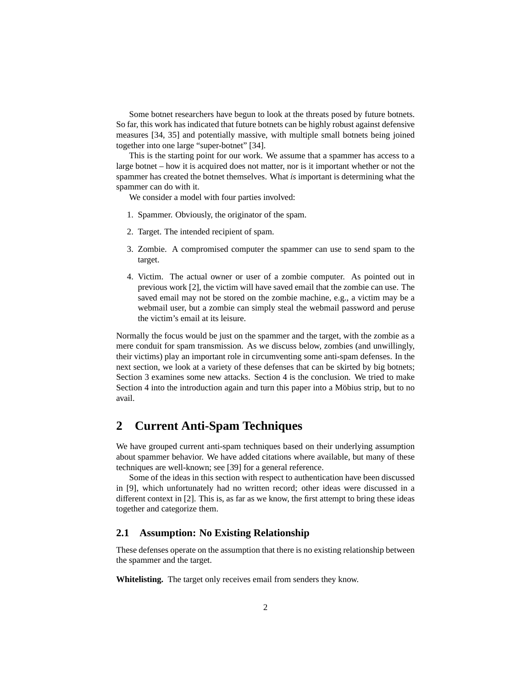Some botnet researchers have begun to look at the threats posed by future botnets. So far, this work has indicated that future botnets can be highly robust against defensive measures [34, 35] and potentially massive, with multiple small botnets being joined together into one large "super-botnet" [34].

This is the starting point for our work. We assume that a spammer has access to a large botnet – how it is acquired does not matter, nor is it important whether or not the spammer has created the botnet themselves. What *is* important is determining what the spammer can do with it.

We consider a model with four parties involved:

- 1. Spammer. Obviously, the originator of the spam.
- 2. Target. The intended recipient of spam.
- 3. Zombie. A compromised computer the spammer can use to send spam to the target.
- 4. Victim. The actual owner or user of a zombie computer. As pointed out in previous work [2], the victim will have saved email that the zombie can use. The saved email may not be stored on the zombie machine, e.g., a victim may be a webmail user, but a zombie can simply steal the webmail password and peruse the victim's email at its leisure.

Normally the focus would be just on the spammer and the target, with the zombie as a mere conduit for spam transmission. As we discuss below, zombies (and unwillingly, their victims) play an important role in circumventing some anti-spam defenses. In the next section, we look at a variety of these defenses that can be skirted by big botnets; Section 3 examines some new attacks. Section 4 is the conclusion. We tried to make Section 4 into the introduction again and turn this paper into a Möbius strip, but to no avail.

## **2 Current Anti-Spam Techniques**

We have grouped current anti-spam techniques based on their underlying assumption about spammer behavior. We have added citations where available, but many of these techniques are well-known; see [39] for a general reference.

Some of the ideas in this section with respect to authentication have been discussed in [9], which unfortunately had no written record; other ideas were discussed in a different context in [2]. This is, as far as we know, the first attempt to bring these ideas together and categorize them.

### **2.1 Assumption: No Existing Relationship**

These defenses operate on the assumption that there is no existing relationship between the spammer and the target.

**Whitelisting.** The target only receives email from senders they know.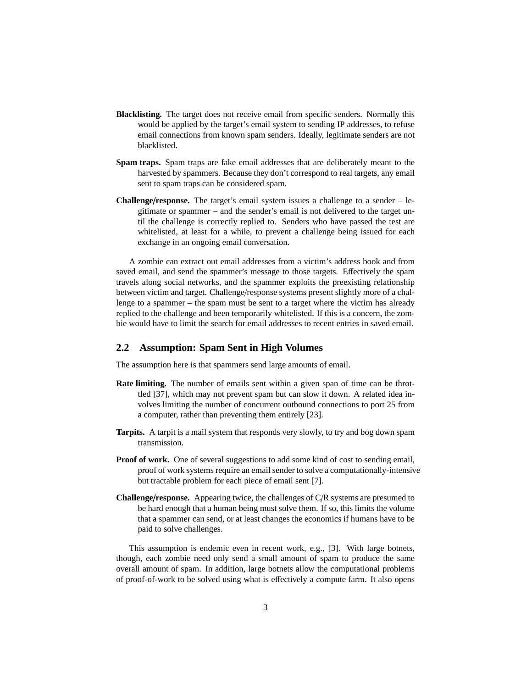- **Blacklisting.** The target does not receive email from specific senders. Normally this would be applied by the target's email system to sending IP addresses, to refuse email connections from known spam senders. Ideally, legitimate senders are not blacklisted.
- **Spam traps.** Spam traps are fake email addresses that are deliberately meant to the harvested by spammers. Because they don't correspond to real targets, any email sent to spam traps can be considered spam.
- **Challenge**/**response.** The target's email system issues a challenge to a sender legitimate or spammer – and the sender's email is not delivered to the target until the challenge is correctly replied to. Senders who have passed the test are whitelisted, at least for a while, to prevent a challenge being issued for each exchange in an ongoing email conversation.

A zombie can extract out email addresses from a victim's address book and from saved email, and send the spammer's message to those targets. Effectively the spam travels along social networks, and the spammer exploits the preexisting relationship between victim and target. Challenge/response systems present slightly more of a challenge to a spammer – the spam must be sent to a target where the victim has already replied to the challenge and been temporarily whitelisted. If this is a concern, the zombie would have to limit the search for email addresses to recent entries in saved email.

#### **2.2 Assumption: Spam Sent in High Volumes**

The assumption here is that spammers send large amounts of email.

- **Rate limiting.** The number of emails sent within a given span of time can be throttled [37], which may not prevent spam but can slow it down. A related idea involves limiting the number of concurrent outbound connections to port 25 from a computer, rather than preventing them entirely [23].
- **Tarpits.** A tarpit is a mail system that responds very slowly, to try and bog down spam transmission.
- **Proof of work.** One of several suggestions to add some kind of cost to sending email, proof of work systems require an email sender to solve a computationally-intensive but tractable problem for each piece of email sent [7].
- **Challenge**/**response.** Appearing twice, the challenges of C/R systems are presumed to be hard enough that a human being must solve them. If so, this limits the volume that a spammer can send, or at least changes the economics if humans have to be paid to solve challenges.

This assumption is endemic even in recent work, e.g., [3]. With large botnets, though, each zombie need only send a small amount of spam to produce the same overall amount of spam. In addition, large botnets allow the computational problems of proof-of-work to be solved using what is effectively a compute farm. It also opens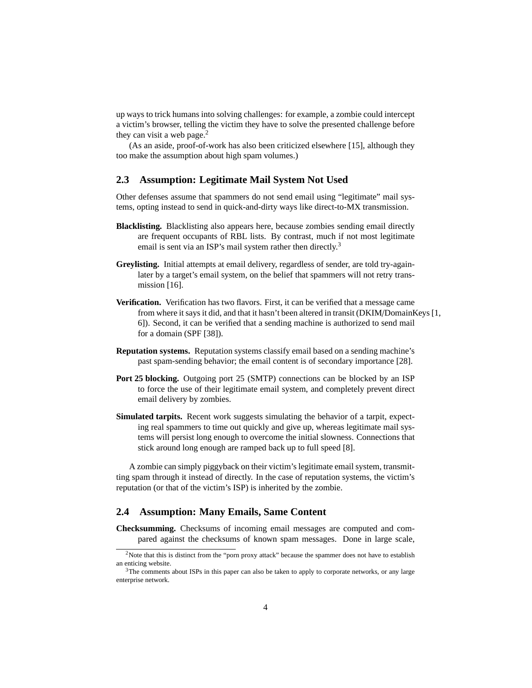up ways to trick humans into solving challenges: for example, a zombie could intercept a victim's browser, telling the victim they have to solve the presented challenge before they can visit a web page. $<sup>2</sup>$ </sup>

(As an aside, proof-of-work has also been criticized elsewhere [15], although they too make the assumption about high spam volumes.)

#### **2.3 Assumption: Legitimate Mail System Not Used**

Other defenses assume that spammers do not send email using "legitimate" mail systems, opting instead to send in quick-and-dirty ways like direct-to-MX transmission.

- **Blacklisting.** Blacklisting also appears here, because zombies sending email directly are frequent occupants of RBL lists. By contrast, much if not most legitimate email is sent via an ISP's mail system rather then directly.<sup>3</sup>
- **Greylisting.** Initial attempts at email delivery, regardless of sender, are told try-againlater by a target's email system, on the belief that spammers will not retry transmission [16].
- **Verification.** Verification has two flavors. First, it can be verified that a message came from where it says it did, and that it hasn't been altered in transit (DKIM/DomainKeys [1, 6]). Second, it can be verified that a sending machine is authorized to send mail for a domain (SPF [38]).
- **Reputation systems.** Reputation systems classify email based on a sending machine's past spam-sending behavior; the email content is of secondary importance [28].
- **Port 25 blocking.** Outgoing port 25 (SMTP) connections can be blocked by an ISP to force the use of their legitimate email system, and completely prevent direct email delivery by zombies.
- **Simulated tarpits.** Recent work suggests simulating the behavior of a tarpit, expecting real spammers to time out quickly and give up, whereas legitimate mail systems will persist long enough to overcome the initial slowness. Connections that stick around long enough are ramped back up to full speed [8].

A zombie can simply piggyback on their victim's legitimate email system, transmitting spam through it instead of directly. In the case of reputation systems, the victim's reputation (or that of the victim's ISP) is inherited by the zombie.

#### **2.4 Assumption: Many Emails, Same Content**

**Checksumming.** Checksums of incoming email messages are computed and compared against the checksums of known spam messages. Done in large scale,

<sup>&</sup>lt;sup>2</sup>Note that this is distinct from the "porn proxy attack" because the spammer does not have to establish an enticing website.

<sup>&</sup>lt;sup>3</sup>The comments about ISPs in this paper can also be taken to apply to corporate networks, or any large enterprise network.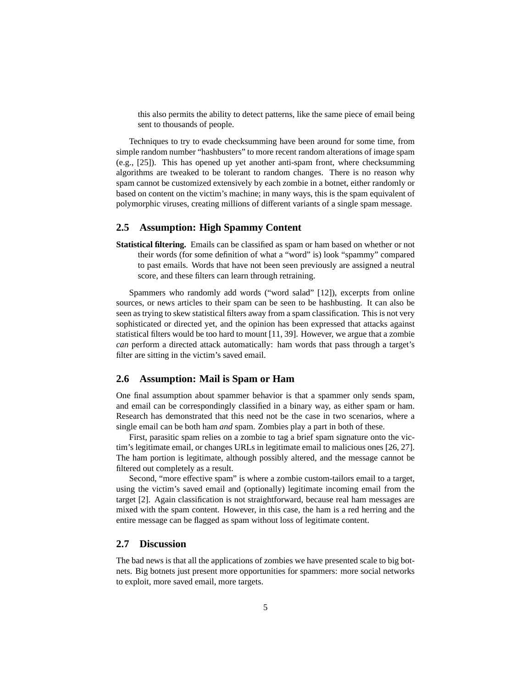this also permits the ability to detect patterns, like the same piece of email being sent to thousands of people.

Techniques to try to evade checksumming have been around for some time, from simple random number "hashbusters" to more recent random alterations of image spam (e.g., [25]). This has opened up yet another anti-spam front, where checksumming algorithms are tweaked to be tolerant to random changes. There is no reason why spam cannot be customized extensively by each zombie in a botnet, either randomly or based on content on the victim's machine; in many ways, this is the spam equivalent of polymorphic viruses, creating millions of different variants of a single spam message.

#### **2.5 Assumption: High Spammy Content**

**Statistical filtering.** Emails can be classified as spam or ham based on whether or not their words (for some definition of what a "word" is) look "spammy" compared to past emails. Words that have not been seen previously are assigned a neutral score, and these filters can learn through retraining.

Spammers who randomly add words ("word salad" [12]), excerpts from online sources, or news articles to their spam can be seen to be hashbusting. It can also be seen as trying to skew statistical filters away from a spam classification. This is not very sophisticated or directed yet, and the opinion has been expressed that attacks against statistical filters would be too hard to mount [11, 39]. However, we argue that a zombie *can* perform a directed attack automatically: ham words that pass through a target's filter are sitting in the victim's saved email.

#### **2.6 Assumption: Mail is Spam or Ham**

One final assumption about spammer behavior is that a spammer only sends spam, and email can be correspondingly classified in a binary way, as either spam or ham. Research has demonstrated that this need not be the case in two scenarios, where a single email can be both ham *and* spam. Zombies play a part in both of these.

First, parasitic spam relies on a zombie to tag a brief spam signature onto the victim's legitimate email, or changes URLs in legitimate email to malicious ones [26, 27]. The ham portion is legitimate, although possibly altered, and the message cannot be filtered out completely as a result.

Second, "more effective spam" is where a zombie custom-tailors email to a target, using the victim's saved email and (optionally) legitimate incoming email from the target [2]. Again classification is not straightforward, because real ham messages are mixed with the spam content. However, in this case, the ham is a red herring and the entire message can be flagged as spam without loss of legitimate content.

#### **2.7 Discussion**

The bad news is that all the applications of zombies we have presented scale to big botnets. Big botnets just present more opportunities for spammers: more social networks to exploit, more saved email, more targets.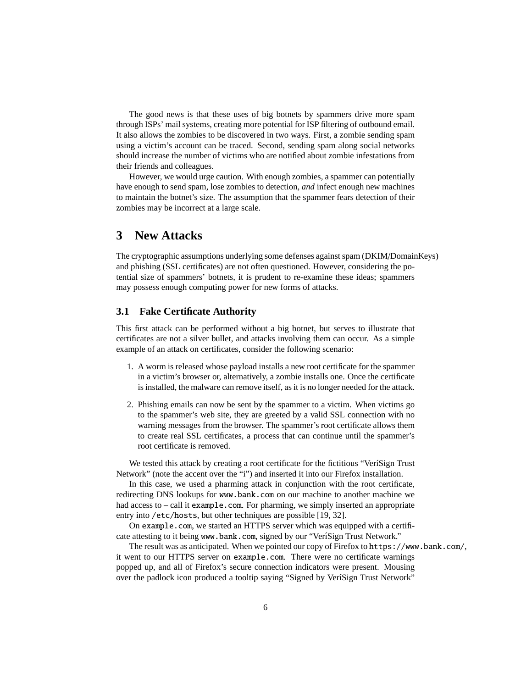The good news is that these uses of big botnets by spammers drive more spam through ISPs' mail systems, creating more potential for ISP filtering of outbound email. It also allows the zombies to be discovered in two ways. First, a zombie sending spam using a victim's account can be traced. Second, sending spam along social networks should increase the number of victims who are notified about zombie infestations from their friends and colleagues.

However, we would urge caution. With enough zombies, a spammer can potentially have enough to send spam, lose zombies to detection, *and* infect enough new machines to maintain the botnet's size. The assumption that the spammer fears detection of their zombies may be incorrect at a large scale.

## **3 New Attacks**

The cryptographic assumptions underlying some defenses against spam (DKIM/DomainKeys) and phishing (SSL certificates) are not often questioned. However, considering the potential size of spammers' botnets, it is prudent to re-examine these ideas; spammers may possess enough computing power for new forms of attacks.

#### **3.1 Fake Certificate Authority**

This first attack can be performed without a big botnet, but serves to illustrate that certificates are not a silver bullet, and attacks involving them can occur. As a simple example of an attack on certificates, consider the following scenario:

- 1. A worm is released whose payload installs a new root certificate for the spammer in a victim's browser or, alternatively, a zombie installs one. Once the certificate is installed, the malware can remove itself, as it is no longer needed for the attack.
- 2. Phishing emails can now be sent by the spammer to a victim. When victims go to the spammer's web site, they are greeted by a valid SSL connection with no warning messages from the browser. The spammer's root certificate allows them to create real SSL certificates, a process that can continue until the spammer's root certificate is removed.

We tested this attack by creating a root certificate for the fictitious "VeríSign Trust Network" (note the accent over the "i") and inserted it into our Firefox installation.

In this case, we used a pharming attack in conjunction with the root certificate, redirecting DNS lookups for www.bank.com on our machine to another machine we had access to – call it example.com. For pharming, we simply inserted an appropriate entry into /etc/hosts, but other techniques are possible [19, 32].

On example.com, we started an HTTPS server which was equipped with a certificate attesting to it being www.bank.com, signed by our "VeriSign Trust Network."

The result was as anticipated. When we pointed our copy of Firefox to https://www.bank.com/, it went to our HTTPS server on example.com. There were no certificate warnings popped up, and all of Firefox's secure connection indicators were present. Mousing over the padlock icon produced a tooltip saying "Signed by VeríSign Trust Network"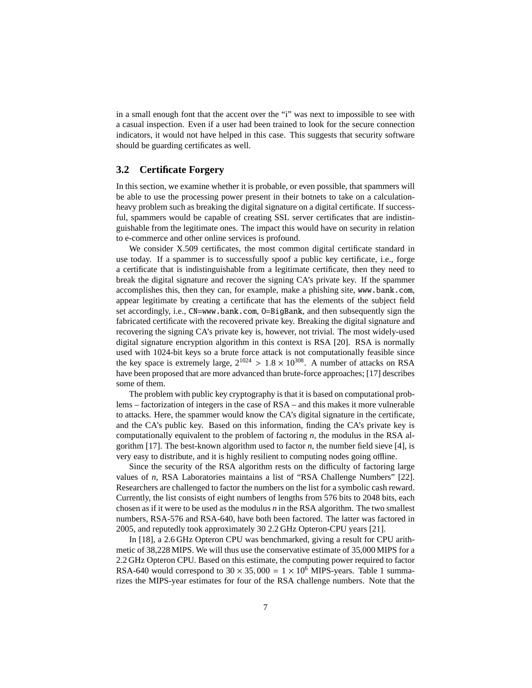in a small enough font that the accent over the "i" was next to impossible to see with a casual inspection. Even if a user had been trained to look for the secure connection indicators, it would not have helped in this case. This suggests that security software should be guarding certificates as well.

#### **3.2 Certificate Forgery**

In this section, we examine whether it is probable, or even possible, that spammers will be able to use the processing power present in their botnets to take on a calculationheavy problem such as breaking the digital signature on a digital certificate. If successful, spammers would be capable of creating SSL server certificates that are indistinguishable from the legitimate ones. The impact this would have on security in relation to e-commerce and other online services is profound.

We consider X.509 certificates, the most common digital certificate standard in use today. If a spammer is to successfully spoof a public key certificate, i.e., forge a certificate that is indistinguishable from a legitimate certificate, then they need to break the digital signature and recover the signing CA's private key. If the spammer accomplishes this, then they can, for example, make a phishing site, www.bank.com, appear legitimate by creating a certificate that has the elements of the subject field set accordingly, i.e., CN=www.bank.com, O=BigBank, and then subsequently sign the fabricated certificate with the recovered private key. Breaking the digital signature and recovering the signing CA's private key is, however, not trivial. The most widely-used digital signature encryption algorithm in this context is RSA [20]. RSA is normally used with 1024-bit keys so a brute force attack is not computationally feasible since the key space is extremely large,  $2^{1024} > 1.8 \times 10^{308}$ . A number of attacks on RSA have been proposed that are more advanced than brute-force approaches; [17] describes some of them.

The problem with public key cryptography is that it is based on computational problems – factorization of integers in the case of RSA – and this makes it more vulnerable to attacks. Here, the spammer would know the CA's digital signature in the certificate, and the CA's public key. Based on this information, finding the CA's private key is computationally equivalent to the problem of factoring *n*, the modulus in the RSA algorithm [17]. The best-known algorithm used to factor *n*, the number field sieve [4], is very easy to distribute, and it is highly resilient to computing nodes going offline.

Since the security of the RSA algorithm rests on the difficulty of factoring large values of *n*, RSA Laboratories maintains a list of "RSA Challenge Numbers" [22]. Researchers are challenged to factor the numbers on the list for a symbolic cash reward. Currently, the list consists of eight numbers of lengths from 576 bits to 2048 bits, each chosen as if it were to be used as the modulus *n* in the RSA algorithm. The two smallest numbers, RSA-576 and RSA-640, have both been factored. The latter was factored in 2005, and reputedly took approximately 30 2.2 GHz Opteron-CPU years [21].

In [18], a 2.6 GHz Opteron CPU was benchmarked, giving a result for CPU arithmetic of 38,228 MIPS. We will thus use the conservative estimate of 35,000 MIPS for a 2.2 GHz Opteron CPU. Based on this estimate, the computing power required to factor RSA-640 would correspond to  $30 \times 35,000 = 1 \times 10^6$  MIPS-years. Table 1 summarizes the MIPS-year estimates for four of the RSA challenge numbers. Note that the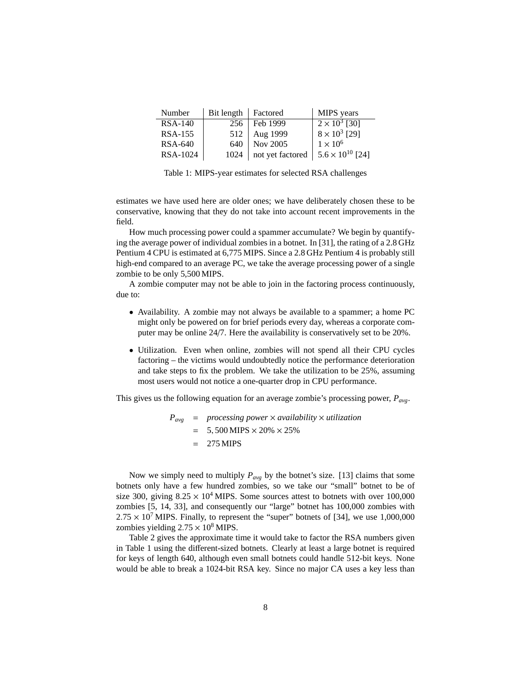| Number         | Bit length | Factored                                     | MIPS years           |
|----------------|------------|----------------------------------------------|----------------------|
| <b>RSA-140</b> | 256        | Feb 1999                                     | $2 \times 10^3$ [30] |
| <b>RSA-155</b> | 512        | Aug 1999                                     | $8 \times 10^3$ [29] |
| <b>RSA-640</b> | 640        | Nov 2005                                     | $1 \times 10^6$      |
| RSA-1024       | 1024       | not yet factored   $5.6 \times 10^{10}$ [24] |                      |
|                |            |                                              |                      |

Table 1: MIPS-year estimates for selected RSA challenges

estimates we have used here are older ones; we have deliberately chosen these to be conservative, knowing that they do not take into account recent improvements in the field.

How much processing power could a spammer accumulate? We begin by quantifying the average power of individual zombies in a botnet. In [31], the rating of a 2.8 GHz Pentium 4 CPU is estimated at 6,775 MIPS. Since a 2.8 GHz Pentium 4 is probably still high-end compared to an average PC, we take the average processing power of a single zombie to be only 5,500 MIPS.

A zombie computer may not be able to join in the factoring process continuously, due to:

- Availability. A zombie may not always be available to a spammer; a home PC might only be powered on for brief periods every day, whereas a corporate computer may be online 24/7. Here the availability is conservatively set to be 20%.
- Utilization. Even when online, zombies will not spend all their CPU cycles factoring – the victims would undoubtedly notice the performance deterioration and take steps to fix the problem. We take the utilization to be 25%, assuming most users would not notice a one-quarter drop in CPU performance.

This gives us the following equation for an average zombie's processing power, *Pavg*.

$$
P_{avg} = processing power \times availability \times utilization
$$
  
= 5,500 MIPS \times 20% \times 25%  
= 275 MIPS

Now we simply need to multiply  $P_{avg}$  by the botnet's size. [13] claims that some botnets only have a few hundred zombies, so we take our "small" botnet to be of size 300, giving  $8.25 \times 10^4$  MIPS. Some sources attest to botnets with over 100,000 zombies [5, 14, 33], and consequently our "large" botnet has 100,000 zombies with  $2.75 \times 10^7$  MIPS. Finally, to represent the "super" botnets of [34], we use 1,000,000 zombies yielding  $2.75 \times 10^8$  MIPS.

Table 2 gives the approximate time it would take to factor the RSA numbers given in Table 1 using the different-sized botnets. Clearly at least a large botnet is required for keys of length 640, although even small botnets could handle 512-bit keys. None would be able to break a 1024-bit RSA key. Since no major CA uses a key less than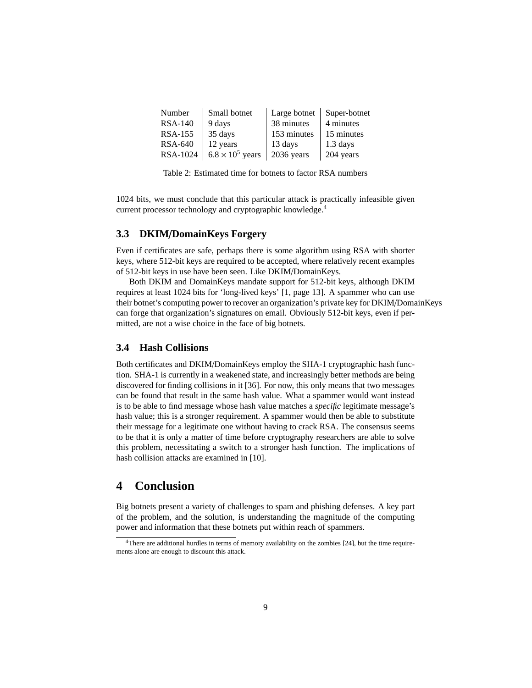| Number         | Small botnet            | Large botnet | Super-botnet       |
|----------------|-------------------------|--------------|--------------------|
| <b>RSA-140</b> | 9 days                  | 38 minutes   | 4 minutes          |
| <b>RSA-155</b> | 35 days                 | 153 minutes  | 15 minutes         |
| <b>RSA-640</b> | 12 years                | 13 days      | $1.3 \text{ days}$ |
| RSA-1024       | $6.8 \times 10^5$ years | 2036 years   | 204 years          |
|                |                         |              |                    |

Table 2: Estimated time for botnets to factor RSA numbers

1024 bits, we must conclude that this particular attack is practically infeasible given current processor technology and cryptographic knowledge.<sup>4</sup>

#### **3.3 DKIM**/**DomainKeys Forgery**

Even if certificates are safe, perhaps there is some algorithm using RSA with shorter keys, where 512-bit keys are required to be accepted, where relatively recent examples of 512-bit keys in use have been seen. Like DKIM/DomainKeys.

Both DKIM and DomainKeys mandate support for 512-bit keys, although DKIM requires at least 1024 bits for 'long-lived keys' [1, page 13]. A spammer who can use their botnet's computing power to recover an organization's private key for DKIM/DomainKeys can forge that organization's signatures on email. Obviously 512-bit keys, even if permitted, are not a wise choice in the face of big botnets.

#### **3.4 Hash Collisions**

Both certificates and DKIM/DomainKeys employ the SHA-1 cryptographic hash function. SHA-1 is currently in a weakened state, and increasingly better methods are being discovered for finding collisions in it [36]. For now, this only means that two messages can be found that result in the same hash value. What a spammer would want instead is to be able to find message whose hash value matches a *specific* legitimate message's hash value; this is a stronger requirement. A spammer would then be able to substitute their message for a legitimate one without having to crack RSA. The consensus seems to be that it is only a matter of time before cryptography researchers are able to solve this problem, necessitating a switch to a stronger hash function. The implications of hash collision attacks are examined in [10].

## **4 Conclusion**

Big botnets present a variety of challenges to spam and phishing defenses. A key part of the problem, and the solution, is understanding the magnitude of the computing power and information that these botnets put within reach of spammers.

<sup>4</sup>There are additional hurdles in terms of memory availability on the zombies [24], but the time requirements alone are enough to discount this attack.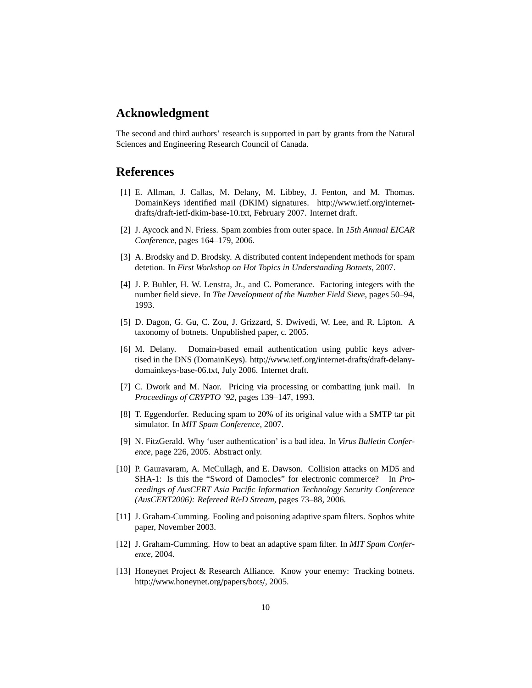## **Acknowledgment**

The second and third authors' research is supported in part by grants from the Natural Sciences and Engineering Research Council of Canada.

## **References**

- [1] E. Allman, J. Callas, M. Delany, M. Libbey, J. Fenton, and M. Thomas. DomainKeys identified mail (DKIM) signatures. http://www.ietf.org/internetdrafts/draft-ietf-dkim-base-10.txt, February 2007. Internet draft.
- [2] J. Aycock and N. Friess. Spam zombies from outer space. In *15th Annual EICAR Conference*, pages 164–179, 2006.
- [3] A. Brodsky and D. Brodsky. A distributed content independent methods for spam detetion. In *First Workshop on Hot Topics in Understanding Botnets*, 2007.
- [4] J. P. Buhler, H. W. Lenstra, Jr., and C. Pomerance. Factoring integers with the number field sieve. In *The Development of the Number Field Sieve*, pages 50–94, 1993.
- [5] D. Dagon, G. Gu, C. Zou, J. Grizzard, S. Dwivedi, W. Lee, and R. Lipton. A taxonomy of botnets. Unpublished paper, c. 2005.
- [6] M. Delany. Domain-based email authentication using public keys advertised in the DNS (DomainKeys). http://www.ietf.org/internet-drafts/draft-delanydomainkeys-base-06.txt, July 2006. Internet draft.
- [7] C. Dwork and M. Naor. Pricing via processing or combatting junk mail. In *Proceedings of CRYPTO '92*, pages 139–147, 1993.
- [8] T. Eggendorfer. Reducing spam to 20% of its original value with a SMTP tar pit simulator. In *MIT Spam Conference*, 2007.
- [9] N. FitzGerald. Why 'user authentication' is a bad idea. In *Virus Bulletin Conference*, page 226, 2005. Abstract only.
- [10] P. Gauravaram, A. McCullagh, and E. Dawson. Collision attacks on MD5 and SHA-1: Is this the "Sword of Damocles" for electronic commerce? In *Proceedings of AusCERT Asia Pacific Information Technology Security Conference (AusCERT2006): Refereed R*&*D Stream*, pages 73–88, 2006.
- [11] J. Graham-Cumming. Fooling and poisoning adaptive spam filters. Sophos white paper, November 2003.
- [12] J. Graham-Cumming. How to beat an adaptive spam filter. In *MIT Spam Conference*, 2004.
- [13] Honeynet Project & Research Alliance. Know your enemy: Tracking botnets. http://www.honeynet.org/papers/bots/, 2005.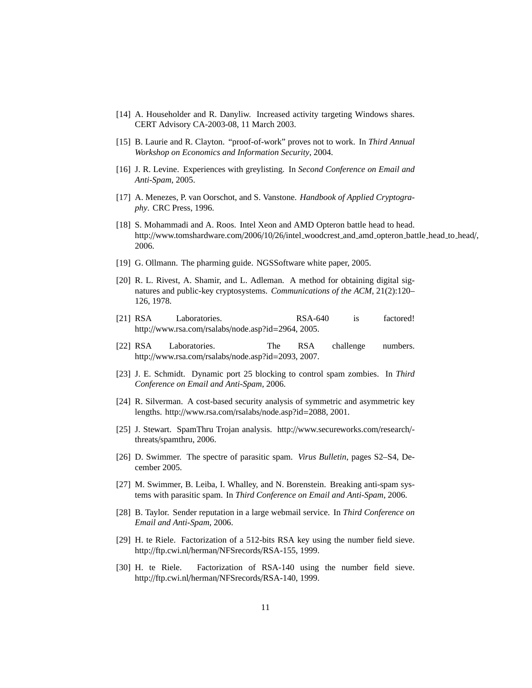- [14] A. Householder and R. Danyliw. Increased activity targeting Windows shares. CERT Advisory CA-2003-08, 11 March 2003.
- [15] B. Laurie and R. Clayton. "proof-of-work" proves not to work. In *Third Annual Workshop on Economics and Information Security*, 2004.
- [16] J. R. Levine. Experiences with greylisting. In *Second Conference on Email and Anti-Spam*, 2005.
- [17] A. Menezes, P. van Oorschot, and S. Vanstone. *Handbook of Applied Cryptography*. CRC Press, 1996.
- [18] S. Mohammadi and A. Roos. Intel Xeon and AMD Opteron battle head to head. http://www.tomshardware.com/2006/10/26/intel\_woodcrest\_and\_amd\_opteron\_battle\_head\_to\_head/, 2006.
- [19] G. Ollmann. The pharming guide. NGSSoftware white paper, 2005.
- [20] R. L. Rivest, A. Shamir, and L. Adleman. A method for obtaining digital signatures and public-key cryptosystems. *Communications of the ACM*, 21(2):120– 126, 1978.
- [21] RSA Laboratories. RSA-640 is factored! http://www.rsa.com/rsalabs/node.asp?id=2964, 2005.
- [22] RSA Laboratories. The RSA challenge numbers. http://www.rsa.com/rsalabs/node.asp?id=2093, 2007.
- [23] J. E. Schmidt. Dynamic port 25 blocking to control spam zombies. In *Third Conference on Email and Anti-Spam*, 2006.
- [24] R. Silverman. A cost-based security analysis of symmetric and asymmetric key lengths. http://www.rsa.com/rsalabs/node.asp?id=2088, 2001.
- [25] J. Stewart. SpamThru Trojan analysis. http://www.secureworks.com/research/ threats/spamthru, 2006.
- [26] D. Swimmer. The spectre of parasitic spam. *Virus Bulletin*, pages S2–S4, December 2005.
- [27] M. Swimmer, B. Leiba, I. Whalley, and N. Borenstein. Breaking anti-spam systems with parasitic spam. In *Third Conference on Email and Anti-Spam*, 2006.
- [28] B. Taylor. Sender reputation in a large webmail service. In *Third Conference on Email and Anti-Spam*, 2006.
- [29] H. te Riele. Factorization of a 512-bits RSA key using the number field sieve. http://ftp.cwi.nl/herman/NFSrecords/RSA-155, 1999.
- [30] H. te Riele. Factorization of RSA-140 using the number field sieve. http://ftp.cwi.nl/herman/NFSrecords/RSA-140, 1999.